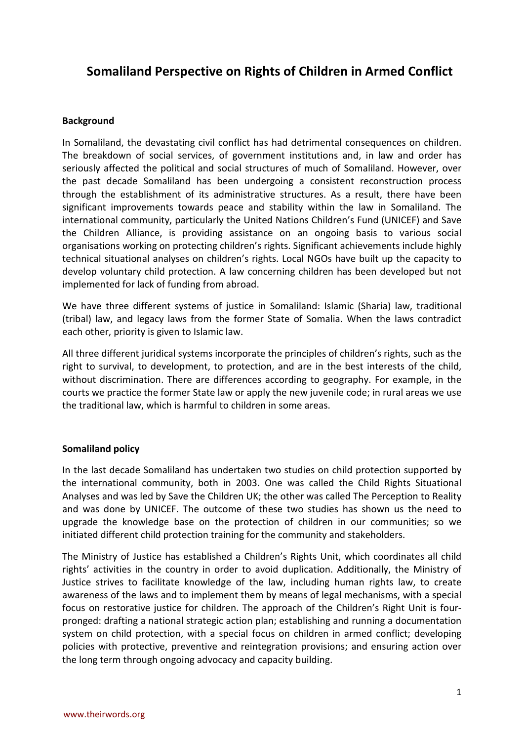# **Somaliland Perspective on Rights of Children in Armed Conflict**

#### **Background**

In Somaliland, the devastating civil conflict has had detrimental consequences on children. The breakdown of social services, of government institutions and, in law and order has seriously affected the political and social structures of much of Somaliland. However, over the past decade Somaliland has been undergoing a consistent reconstruction process through the establishment of its administrative structures. As a result, there have been significant improvements towards peace and stability within the law in Somaliland. The international community, particularly the United Nations Children's Fund (UNICEF) and Save the Children Alliance, is providing assistance on an ongoing basis to various social organisations working on protecting children's rights. Significant achievements include highly technical situational analyses on children's rights. Local NGOs have built up the capacity to develop voluntary child protection. A law concerning children has been developed but not implemented for lack of funding from abroad.

We have three different systems of justice in Somaliland: Islamic (Sharia) law, traditional (tribal) law, and legacy laws from the former State of Somalia. When the laws contradict each other, priority is given to Islamic law.

All three different juridical systems incorporate the principles of children's rights, such as the right to survival, to development, to protection, and are in the best interests of the child, without discrimination. There are differences according to geography. For example, in the courts we practice the former State law or apply the new juvenile code; in rural areas we use the traditional law, which is harmful to children in some areas.

#### **Somaliland policy**

In the last decade Somaliland has undertaken two studies on child protection supported by the international community, both in 2003. One was called the Child Rights Situational Analyses and was led by Save the Children UK; the other was called The Perception to Reality and was done by UNICEF. The outcome of these two studies has shown us the need to upgrade the knowledge base on the protection of children in our communities; so we initiated different child protection training for the community and stakeholders.

The Ministry of Justice has established a Children's Rights Unit, which coordinates all child rights' activities in the country in order to avoid duplication. Additionally, the Ministry of Justice strives to facilitate knowledge of the law, including human rights law, to create awareness of the laws and to implement them by means of legal mechanisms, with a special focus on restorative justice for children. The approach of the Children's Right Unit is fourpronged: drafting a national strategic action plan; establishing and running a documentation system on child protection, with a special focus on children in armed conflict; developing policies with protective, preventive and reintegration provisions; and ensuring action over the long term through ongoing advocacy and capacity building.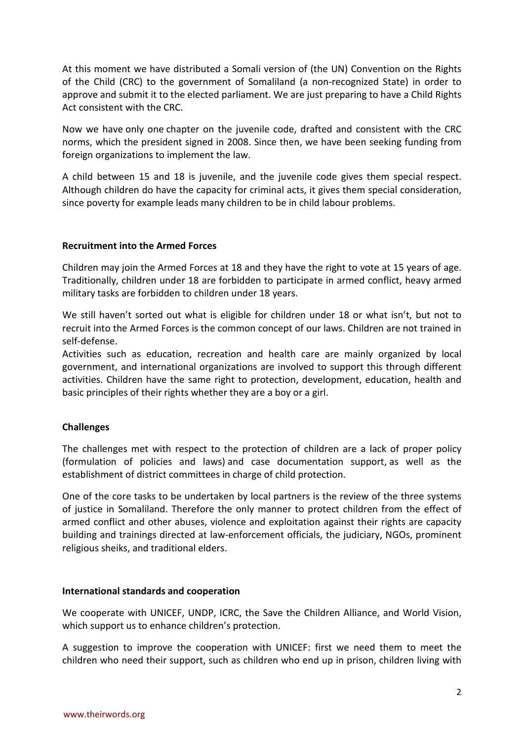At this moment we have distributed a Somali version of (the UN) Convention on the Rights of the Child (CRC) to the government of Somaliland (a non-recognized State) in order to approve and submit it to the elected parliament. We are just preparing to have a Child Rights Act consistent with the CRC.

Now we have only one chapter on the juvenile code, drafted and consistent with the CRC norms, which the president signed in 2008. Since then, we have been seeking funding from foreign organizations to implement the law.

A child between 15 and 18 is juvenile, and the juvenile code gives them special respect. Although children do have the capacity for criminal acts, it gives them special consideration, since poverty for example leads many children to be in child labour problems.

### **Recruitment into the Armed Forces**

Children may join the Armed Forces at 18 and they have the right to vote at 15 years of age. Traditionally, children under 18 are forbidden to participate in armed conflict, heavy armed military tasks are forbidden to children under 18 years.

We still haven't sorted out what is eligible for children under 18 or what isn't, but not to recruit into the Armed Forces is the common concept of our laws. Children are not trained in self-defense.

Activities such as education, recreation and health care are mainly organized by local government, and international organizations are involved to support this through different activities. Children have the same right to protection, development, education, health and basic principles of their rights whether they are a boy or a girl.

## **Challenges**

The challenges met with respect to the protection of children are a lack of proper policy (formulation of policies and laws) and case documentation support, as well as the establishment of district committees in charge of child protection.

One of the core tasks to be undertaken by local partners is the review of the three systems of justice in Somaliland. Therefore the only manner to protect children from the effect of armed conflict and other abuses, violence and exploitation against their rights are capacity building and trainings directed at law-enforcement officials, the judiciary, NGOs, prominent religious sheiks, and traditional elders.

### **International standards and cooperation**

We cooperate with UNICEF, UNDP, ICRC, the Save the Children Alliance, and World Vision, which support us to enhance children's protection.

A suggestion to improve the cooperation with UNICEF: first we need them to meet the children who need their support, such as children who end up in prison, children living with